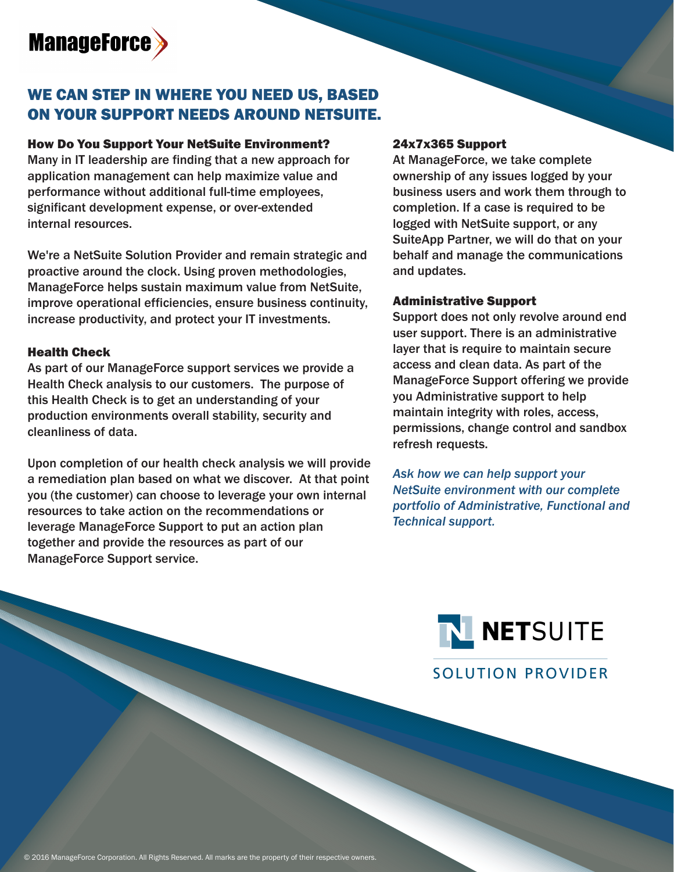# **ManageForce**

# WE CAN STEP IN WHERE YOU NEED US, BASED ON YOUR SUPPORT NEEDS AROUND NETSUITE.

#### How Do You Support Your NetSuite Environment?

Many in IT leadership are finding that a new approach for application management can help maximize value and performance without additional full-time employees, significant development expense, or over-extended internal resources.

We're a NetSuite Solution Provider and remain strategic and proactive around the clock. Using proven methodologies, ManageForce helps sustain maximum value from NetSuite, improve operational efficiencies, ensure business continuity, increase productivity, and protect your IT investments.

#### Health Check

As part of our ManageForce support services we provide a Health Check analysis to our customers. The purpose of this Health Check is to get an understanding of your production environments overall stability, security and cleanliness of data.

Upon completion of our health check analysis we will provide a remediation plan based on what we discover. At that point you (the customer) can choose to leverage your own internal resources to take action on the recommendations or leverage ManageForce Support to put an action plan together and provide the resources as part of our ManageForce Support service.

#### 24x7x365 Support

At ManageForce, we take complete ownership of any issues logged by your business users and work them through to completion. If a case is required to be logged with NetSuite support, or any SuiteApp Partner, we will do that on your behalf and manage the communications and updates.

#### Administrative Support

Support does not only revolve around end user support. There is an administrative layer that is require to maintain secure access and clean data. As part of the ManageForce Support offering we provide you Administrative support to help maintain integrity with roles, access, permissions, change control and sandbox refresh requests.

*Ask how we can help support your NetSuite environment with our complete portfolio of Administrative, Functional and Technical support.*

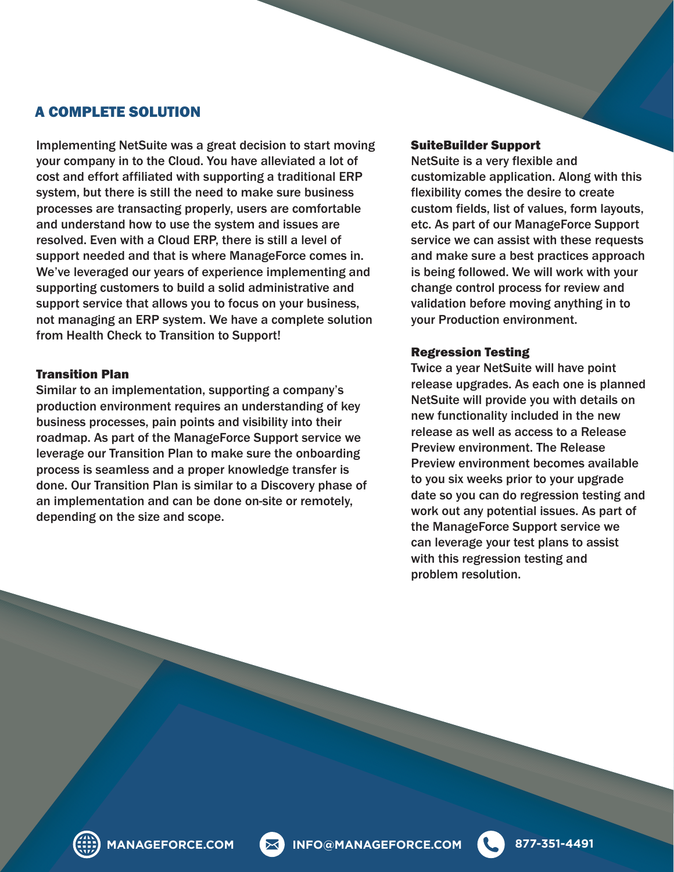### A COMPLETE SOLUTION

Implementing NetSuite was a great decision to start moving your company in to the Cloud. You have alleviated a lot of cost and effort affiliated with supporting a traditional ERP system, but there is still the need to make sure business processes are transacting properly, users are comfortable and understand how to use the system and issues are resolved. Even with a Cloud ERP, there is still a level of support needed and that is where ManageForce comes in. We've leveraged our years of experience implementing and supporting customers to build a solid administrative and support service that allows you to focus on your business, not managing an ERP system. We have a complete solution from Health Check to Transition to Support!

#### Transition Plan

Similar to an implementation, supporting a company's production environment requires an understanding of key business processes, pain points and visibility into their roadmap. As part of the ManageForce Support service we leverage our Transition Plan to make sure the onboarding process is seamless and a proper knowledge transfer is done. Our Transition Plan is similar to a Discovery phase of an implementation and can be done on-site or remotely, depending on the size and scope.

#### SuiteBuilder Support

NetSuite is a very flexible and customizable application. Along with this flexibility comes the desire to create custom fields, list of values, form layouts, etc. As part of our ManageForce Support service we can assist with these requests and make sure a best practices approach is being followed. We will work with your change control process for review and validation before moving anything in to your Production environment.

#### Regression Testing

Twice a year NetSuite will have point release upgrades. As each one is planned NetSuite will provide you with details on new functionality included in the new release as well as access to a Release Preview environment. The Release Preview environment becomes available to you six weeks prior to your upgrade date so you can do regression testing and work out any potential issues. As part of the ManageForce Support service we can leverage your test plans to assist with this regression testing and problem resolution.

**MANAGEFORCE.COM INFO@MANAGEFORCE.COM 877-351-4491**